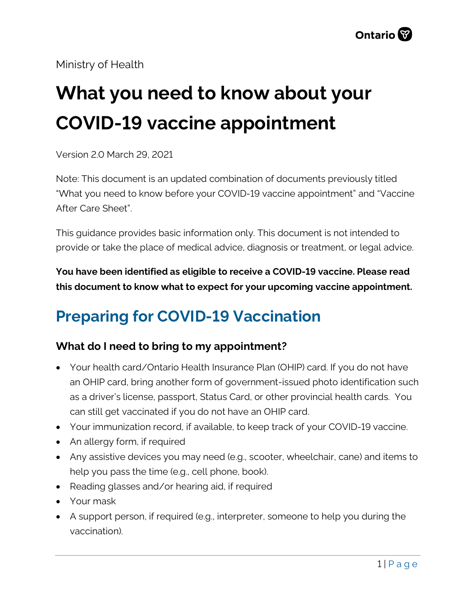Ministry of Health

# **What you need to know about your COVID-19 vaccine appointment**

Version 2.0 March 29, 2021

Note: This document is an updated combination of documents previously titled "What you need to know before your COVID-19 vaccine appointment" and "Vaccine After Care Sheet".

This guidance provides basic information only. This document is not intended to provide or take the place of medical advice, diagnosis or treatment, or legal advice.

**You have been identified as eligible to receive a COVID-19 vaccine. Please read this document to know what to expect for your upcoming vaccine appointment.**

## **Preparing for COVID-19 Vaccination**

#### **What do I need to bring to my appointment?**

- Your health card/Ontario Health Insurance Plan (OHIP) card. If you do not have an OHIP card, bring another form of government-issued photo identification such as a driver's license, passport, Status Card, or other provincial health cards. You can still get vaccinated if you do not have an OHIP card.
- Your immunization record, if available, to keep track of your COVID-19 vaccine.
- An allergy form, if required
- Any assistive devices you may need (e.g., scooter, wheelchair, cane) and items to help you pass the time (e.g., cell phone, book).
- Reading glasses and/or hearing aid, if required
- Your mask
- A support person, if required (e.g., interpreter, someone to help you during the vaccination).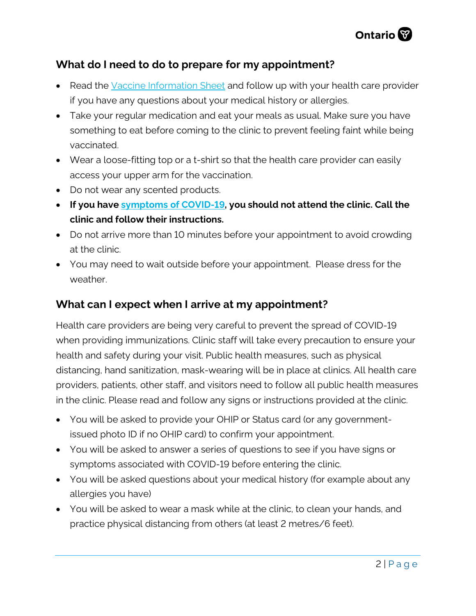

#### **What do I need to do to prepare for my appointment?**

- Read the [Vaccine Information Sheet](https://www.health.gov.on.ca/en/pro/programs/publichealth/coronavirus/docs/vaccine/COVID-19_vaccine_info_sheet.pdf) and follow up with your health care provider if you have any questions about your medical history or allergies.
- Take your regular medication and eat your meals as usual. Make sure you have something to eat before coming to the clinic to prevent feeling faint while being vaccinated.
- Wear a loose-fitting top or a t-shirt so that the health care provider can easily access your upper arm for the vaccination.
- Do not wear any scented products.
- **If you hav[e symptoms of COVID-19,](https://www.canada.ca/en/public-health/services/diseases/2019-novel-coronavirus-infection/symptoms.html) you should not attend the clinic. Call the clinic and follow their instructions.**
- Do not arrive more than 10 minutes before your appointment to avoid crowding at the clinic.
- You may need to wait outside before your appointment. Please dress for the weather.

#### **What can I expect when I arrive at my appointment?**

Health care providers are being very careful to prevent the spread of COVID-19 when providing immunizations. Clinic staff will take every precaution to ensure your health and safety during your visit. Public health measures, such as physical distancing, hand sanitization, mask-wearing will be in place at clinics. All health care providers, patients, other staff, and visitors need to follow all public health measures in the clinic. Please read and follow any signs or instructions provided at the clinic.

- You will be asked to provide your OHIP or Status card (or any governmentissued photo ID if no OHIP card) to confirm your appointment.
- You will be asked to answer a series of questions to see if you have signs or symptoms associated with COVID-19 before entering the clinic.
- You will be asked questions about your medical history (for example about any allergies you have)
- You will be asked to wear a mask while at the clinic, to clean your hands, and practice physical distancing from others (at least 2 metres/6 feet).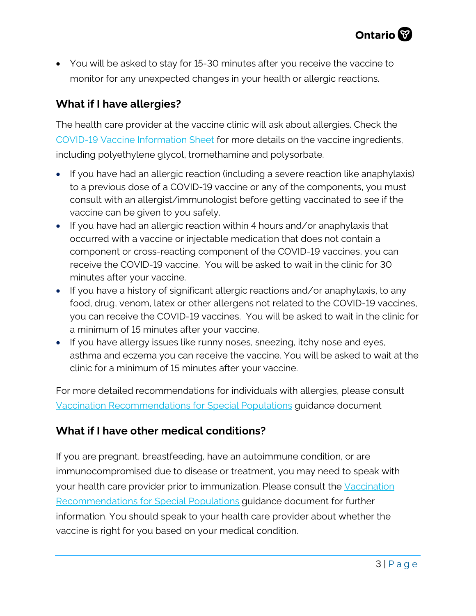

• You will be asked to stay for 15-30 minutes after you receive the vaccine to monitor for any unexpected changes in your health or allergic reactions.

#### **What if I have allergies?**

The health care provider at the vaccine clinic will ask about allergies. Check the [COVID-19 Vaccine Information Sheet](https://www.health.gov.on.ca/en/pro/programs/publichealth/coronavirus/docs/vaccine/COVID-19_vaccine_info_sheet.pdf) for more details on the vaccine ingredients, including polyethylene glycol, tromethamine and polysorbate.

- If you have had an allergic reaction (including a severe reaction like anaphylaxis) to a previous dose of a COVID-19 vaccine or any of the components, you must consult with an allergist/immunologist before getting vaccinated to see if the vaccine can be given to you safely.
- If you have had an allergic reaction within 4 hours and/or anaphylaxis that occurred with a vaccine or injectable medication that does not contain a component or cross-reacting component of the COVID-19 vaccines, you can receive the COVID-19 vaccine. You will be asked to wait in the clinic for 30 minutes after your vaccine.
- If you have a history of significant allergic reactions and/or anaphylaxis, to any food, drug, venom, latex or other allergens not related to the COVID-19 vaccines, you can receive the COVID-19 vaccines. You will be asked to wait in the clinic for a minimum of 15 minutes after your vaccine.
- If you have allergy issues like runny noses, sneezing, itchy nose and eyes, asthma and eczema you can receive the vaccine. You will be asked to wait at the clinic for a minimum of 15 minutes after your vaccine.

For more detailed recommendations for individuals with allergies, please consult [Vaccination Recommendations for Special Populations](https://www.health.gov.on.ca/en/pro/programs/publichealth/coronavirus/docs/vaccine/COVID-19_vaccination_rec_special_populations.pdf) guidance document

#### **What if I have other medical conditions?**

If you are pregnant, breastfeeding, have an autoimmune condition, or are immunocompromised due to disease or treatment, you may need to speak with your health care provider prior to immunization. Please consult the [Vaccination](https://www.health.gov.on.ca/en/pro/programs/publichealth/coronavirus/docs/vaccine/COVID-19_vaccination_rec_special_populations.pdf)  [Recommendations for Special Populations](https://www.health.gov.on.ca/en/pro/programs/publichealth/coronavirus/docs/vaccine/COVID-19_vaccination_rec_special_populations.pdf) guidance document for further information. You should speak to your health care provider about whether the vaccine is right for you based on your medical condition.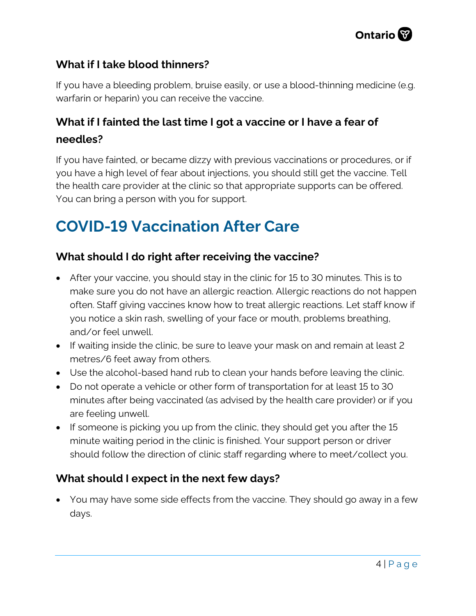

#### **What if I take blood thinners?**

If you have a bleeding problem, bruise easily, or use a blood-thinning medicine (e.g. warfarin or heparin) you can receive the vaccine.

### **What if I fainted the last time I got a vaccine or I have a fear of needles?**

If you have fainted, or became dizzy with previous vaccinations or procedures, or if you have a high level of fear about injections, you should still get the vaccine. Tell the health care provider at the clinic so that appropriate supports can be offered. You can bring a person with you for support.

### **COVID-19 Vaccination After Care**

#### **What should I do right after receiving the vaccine?**

- After your vaccine, you should stay in the clinic for 15 to 30 minutes. This is to make sure you do not have an allergic reaction. Allergic reactions do not happen often. Staff giving vaccines know how to treat allergic reactions. Let staff know if you notice a skin rash, swelling of your face or mouth, problems breathing, and/or feel unwell.
- If waiting inside the clinic, be sure to leave your mask on and remain at least 2 metres/6 feet away from others.
- Use the alcohol-based hand rub to clean your hands before leaving the clinic.
- Do not operate a vehicle or other form of transportation for at least 15 to 30 minutes after being vaccinated (as advised by the health care provider) or if you are feeling unwell.
- If someone is picking you up from the clinic, they should get you after the 15 minute waiting period in the clinic is finished. Your support person or driver should follow the direction of clinic staff regarding where to meet/collect you.

#### **What should I expect in the next few days?**

• You may have some side effects from the vaccine. They should go away in a few days.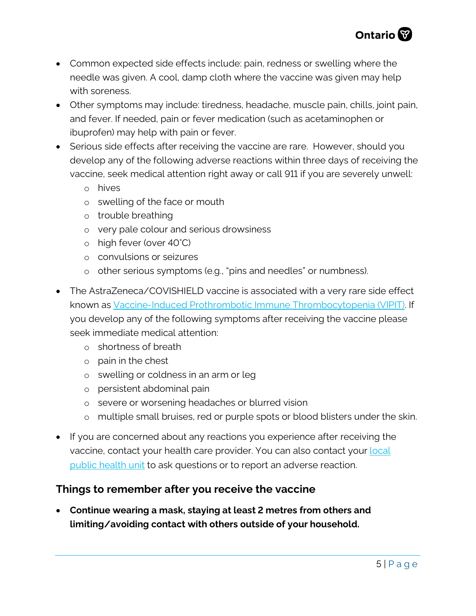

- Common expected side effects include: pain, redness or swelling where the needle was given. A cool, damp cloth where the vaccine was given may help with soreness.
- Other symptoms may include: tiredness, headache, muscle pain, chills, joint pain, and fever. If needed, pain or fever medication (such as acetaminophen or ibuprofen) may help with pain or fever.
- Serious side effects after receiving the vaccine are rare. However, should you develop any of the following adverse reactions within three days of receiving the vaccine, seek medical attention right away or call 911 if you are severely unwell:
	- o hives
	- o swelling of the face or mouth
	- o trouble breathing
	- o very pale colour and serious drowsiness
	- o high fever (over 40°C)
	- o convulsions or seizures
	- o other serious symptoms (e.g., "pins and needles" or numbness).
- The AstraZeneca/COVISHIELD vaccine is associated with a very rare side effect known as Vaccine-Induced Prothrombotic [Immune Thrombocytopenia \(VIPIT\).](https://covid19-sciencetable.ca/sciencebrief/vaccine-induced-prothrombotic-immune-thrombocytopenia-vipit-following-astrazeneca-covid-19-vaccination/) If you develop any of the following symptoms after receiving the vaccine please seek immediate medical attention:
	- o shortness of breath
	- o pain in the chest
	- o swelling or coldness in an arm or leg
	- o persistent abdominal pain
	- o severe or worsening headaches or blurred vision
	- o multiple small bruises, red or purple spots or blood blisters under the skin.
- If you are concerned about any reactions you experience after receiving the vaccine, contact your health care provider. You can also contact your local [public health unit](https://www.phdapps.health.gov.on.ca/phulocator/) to ask questions or to report an adverse reaction.

#### **Things to remember after you receive the vaccine**

• **Continue wearing a mask, staying at least 2 metres from others and limiting/avoiding contact with others outside of your household.**